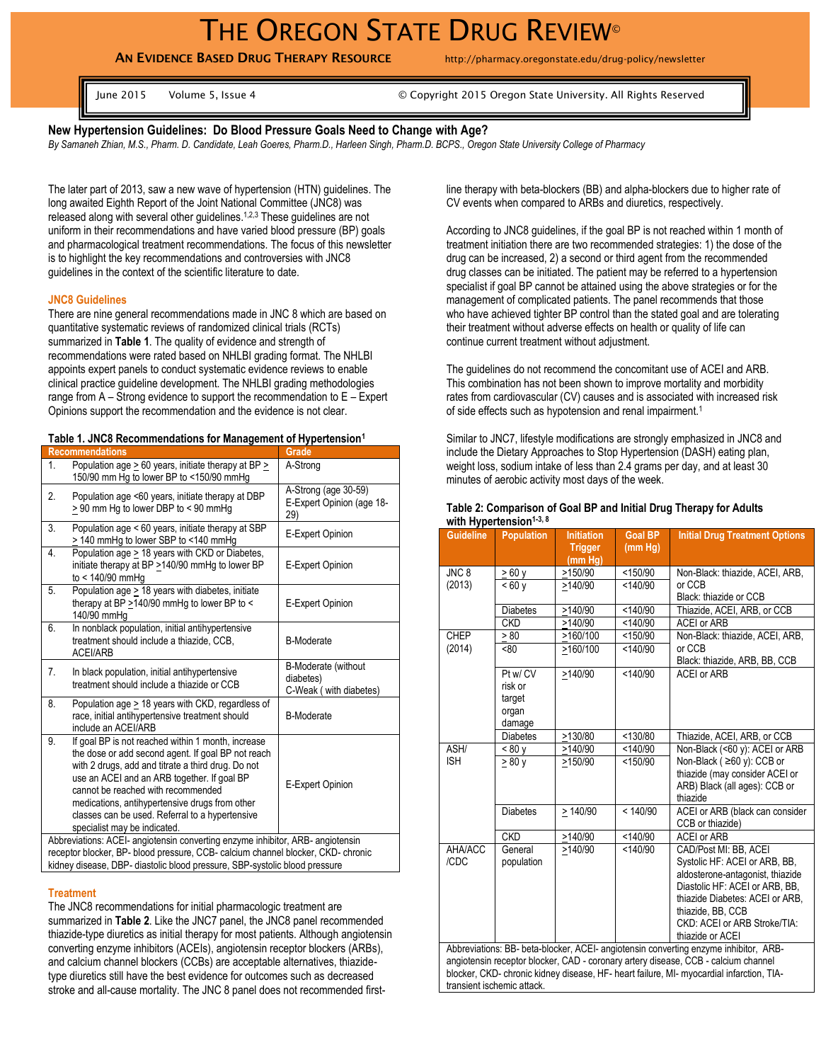# THE OREGON STATE DRUG REVIEW<sup>®</sup>

**AN EVIDENCE BASED DRUG THERAPY RESOURCE** http://pharmacy.oregonstate.edu/drug-policy/newsletter

June 2015 Volume 5, Issue 4 © Copyright 2015 Oregon State University. All Rights Reserved

#### **New Hypertension Guidelines: Do Blood Pressure Goals Need to Change with Age?**

*By Samaneh Zhian, M.S., Pharm. D. Candidate, Leah Goeres, Pharm.D., Harleen Singh, Pharm.D. BCPS., Oregon State University College of Pharmacy*

The later part of 2013, saw a new wave of hypertension (HTN) guidelines. The long awaited Eighth Report of the Joint National Committee (JNC8) was released along with several other guidelines.<sup>1,2,3</sup> These guidelines are not uniform in their recommendations and have varied blood pressure (BP) goals and pharmacological treatment recommendations. The focus of this newsletter is to highlight the key recommendations and controversies with JNC8 guidelines in the context of the scientific literature to date.

#### **JNC8 Guidelines**

There are nine general recommendations made in JNC 8 which are based on quantitative systematic reviews of randomized clinical trials (RCTs) summarized in **Table 1**. The quality of evidence and strength of recommendations were rated based on NHLBI grading format. The NHLBI appoints expert panels to conduct systematic evidence reviews to enable clinical practice guideline development. The NHLBI grading methodologies range from A – Strong evidence to support the recommendation to E – Expert Opinions support the recommendation and the evidence is not clear.

|  | Table 1. JNC8 Recommendations for Management of Hypertension <sup>1</sup> |  |  |
|--|---------------------------------------------------------------------------|--|--|
|  |                                                                           |  |  |

| <b>Recommendations</b>                                                                                                                                                                                                                                                                                                                                                                         | Grade                                                      |  |  |
|------------------------------------------------------------------------------------------------------------------------------------------------------------------------------------------------------------------------------------------------------------------------------------------------------------------------------------------------------------------------------------------------|------------------------------------------------------------|--|--|
| Population age > 60 years, initiate therapy at BP ><br>1.<br>150/90 mm Hg to lower BP to <150/90 mmHg                                                                                                                                                                                                                                                                                          | A-Strong                                                   |  |  |
| 2.<br>Population age <60 years, initiate therapy at DBP<br>> 90 mm Hg to lower DBP to < 90 mmHg                                                                                                                                                                                                                                                                                                | A-Strong (age 30-59)<br>E-Expert Opinion (age 18-<br>29)   |  |  |
| Population age < 60 years, initiate therapy at SBP<br>3.<br>> 140 mmHg to lower SBP to <140 mmHg                                                                                                                                                                                                                                                                                               | E-Expert Opinion                                           |  |  |
| Population age > 18 years with CKD or Diabetes,<br>4.<br>initiate therapy at BP >140/90 mmHg to lower BP<br>to < $140/90$ mmHg                                                                                                                                                                                                                                                                 | E-Expert Opinion                                           |  |  |
| Population age > 18 years with diabetes, initiate<br>5.<br>therapy at BP >140/90 mmHg to lower BP to <<br>140/90 mmHq                                                                                                                                                                                                                                                                          | E-Expert Opinion                                           |  |  |
| In nonblack population, initial antihypertensive<br>6.<br>treatment should include a thiazide, CCB,<br><b>ACEI/ARB</b>                                                                                                                                                                                                                                                                         | <b>B-Moderate</b>                                          |  |  |
| In black population, initial antihypertensive<br>7.<br>treatment should include a thiazide or CCB                                                                                                                                                                                                                                                                                              | B-Moderate (without<br>diabetes)<br>C-Weak (with diabetes) |  |  |
| 8.<br>Population age > 18 years with CKD, regardless of<br>race, initial antihypertensive treatment should<br>include an ACEI/ARB                                                                                                                                                                                                                                                              | <b>B-Moderate</b>                                          |  |  |
| If goal BP is not reached within 1 month, increase<br>9.<br>the dose or add second agent. If goal BP not reach<br>with 2 drugs, add and titrate a third drug. Do not<br>use an ACEI and an ARB together. If goal BP<br>cannot be reached with recommended<br>medications, antihypertensive drugs from other<br>classes can be used. Referral to a hypertensive<br>specialist may be indicated. | E-Expert Opinion                                           |  |  |
| Abbreviations: ACEI- angiotensin converting enzyme inhibitor, ARB- angiotensin<br>receptor blocker, BP- blood pressure, CCB- calcium channel blocker, CKD- chronic                                                                                                                                                                                                                             |                                                            |  |  |
| kidney disease, DBP- diastolic blood pressure, SBP-systolic blood pressure                                                                                                                                                                                                                                                                                                                     |                                                            |  |  |

## **Treatment**

The JNC8 recommendations for initial pharmacologic treatment are summarized in **Table 2**. Like the JNC7 panel, the JNC8 panel recommended thiazide-type diuretics as initial therapy for most patients. Although angiotensin converting enzyme inhibitors (ACEIs), angiotensin receptor blockers (ARBs), and calcium channel blockers (CCBs) are acceptable alternatives, thiazidetype diuretics still have the best evidence for outcomes such as decreased stroke and all-cause mortality. The JNC 8 panel does not recommended firstline therapy with beta-blockers (BB) and alpha-blockers due to higher rate of CV events when compared to ARBs and diuretics, respectively.

According to JNC8 guidelines, if the goal BP is not reached within 1 month of treatment initiation there are two recommended strategies: 1) the dose of the drug can be increased, 2) a second or third agent from the recommended drug classes can be initiated. The patient may be referred to a hypertension specialist if goal BP cannot be attained using the above strategies or for the management of complicated patients. The panel recommends that those who have achieved tighter BP control than the stated goal and are tolerating their treatment without adverse effects on health or quality of life can continue current treatment without adjustment.

The guidelines do not recommend the concomitant use of ACEI and ARB. This combination has not been shown to improve mortality and morbidity rates from cardiovascular (CV) causes and is associated with increased risk of side effects such as hypotension and renal impairment.<sup>1</sup>

Similar to JNC7, lifestyle modifications are strongly emphasized in JNC8 and include the Dietary Approaches to Stop Hypertension (DASH) eating plan, weight loss, sodium intake of less than 2.4 grams per day, and at least 30 minutes of aerobic activity most days of the week.

| Table 2: Comparison of Goal BP and Initial Drug Therapy for Adults |  |  |
|--------------------------------------------------------------------|--|--|
| with Hypertension <sup><math>1-3, 8</math></sup>                   |  |  |

| <b>Guideline</b>                                                                                                                                                               | <b>Population</b> | <b>Initiation</b>         | <b>Goal BP</b>       | <b>Initial Drug Treatment Options</b>                       |  |  |  |
|--------------------------------------------------------------------------------------------------------------------------------------------------------------------------------|-------------------|---------------------------|----------------------|-------------------------------------------------------------|--|--|--|
|                                                                                                                                                                                |                   | <b>Trigger</b><br>(mm Hg) | (mm Hg)              |                                                             |  |  |  |
| JNC <sub>8</sub>                                                                                                                                                               | $\geq 60$ y       | >150/90                   | < 150/90<br>< 140/90 | Non-Black: thiazide, ACEI, ARB,                             |  |  |  |
| (2013)                                                                                                                                                                         | < 60v             | >140/90                   |                      | or CCB                                                      |  |  |  |
|                                                                                                                                                                                |                   |                           |                      | Black: thiazide or CCB                                      |  |  |  |
|                                                                                                                                                                                | <b>Diabetes</b>   | >140/90                   | < 140/90             | Thiazide, ACEI, ARB, or CCB                                 |  |  |  |
|                                                                                                                                                                                | <b>CKD</b>        | >140/90                   | < 140/90             | <b>ACEI or ARB</b>                                          |  |  |  |
| <b>CHEP</b>                                                                                                                                                                    | > 80              | >160/100                  | < 150/90             | Non-Black: thiazide, ACEI, ARB,                             |  |  |  |
| (2014)                                                                                                                                                                         | <80               | >160/100                  | < 140/90             | or CCB                                                      |  |  |  |
|                                                                                                                                                                                |                   |                           |                      | Black: thiazide, ARB, BB, CCB                               |  |  |  |
|                                                                                                                                                                                | Pt w/ CV          | >140/90                   | < 140/90             | <b>ACEI or ARB</b>                                          |  |  |  |
|                                                                                                                                                                                | risk or           |                           |                      |                                                             |  |  |  |
|                                                                                                                                                                                | target            |                           |                      |                                                             |  |  |  |
|                                                                                                                                                                                | organ             |                           |                      |                                                             |  |  |  |
|                                                                                                                                                                                | damage            |                           |                      |                                                             |  |  |  |
| ASH/                                                                                                                                                                           | <b>Diabetes</b>   | >130/80<br>>140/90        | < 130/80<br>140/90   | Thiazide, ACEI, ARB, or CCB                                 |  |  |  |
| <b>ISH</b>                                                                                                                                                                     | < 80 y            | >150/90                   | $\times 150/90$      | Non-Black (<60 y): ACEI or ARB<br>Non-Black (≥60 y): CCB or |  |  |  |
|                                                                                                                                                                                | > 80v             |                           |                      | thiazide (may consider ACEI or                              |  |  |  |
|                                                                                                                                                                                |                   |                           |                      | ARB) Black (all ages): CCB or                               |  |  |  |
|                                                                                                                                                                                |                   |                           |                      | thiazide                                                    |  |  |  |
|                                                                                                                                                                                | <b>Diabetes</b>   | >140/90                   | < 140/90             | ACEI or ARB (black can consider                             |  |  |  |
|                                                                                                                                                                                |                   |                           |                      | CCB or thiazide)                                            |  |  |  |
|                                                                                                                                                                                | <b>CKD</b>        | >140/90                   | < 140/90             | <b>ACEI or ARB</b>                                          |  |  |  |
| AHA/ACC                                                                                                                                                                        | General           | >140/90                   | < 140/90             | CAD/Post MI: BB, ACEI                                       |  |  |  |
| /CDC                                                                                                                                                                           | population        |                           |                      | Systolic HF: ACEI or ARB, BB,                               |  |  |  |
|                                                                                                                                                                                |                   |                           |                      | aldosterone-antagonist, thiazide                            |  |  |  |
|                                                                                                                                                                                |                   |                           |                      | Diastolic HF: ACEI or ARB, BB,                              |  |  |  |
|                                                                                                                                                                                |                   |                           |                      | thiazide Diabetes: ACEI or ARB,                             |  |  |  |
|                                                                                                                                                                                |                   |                           |                      | thiazide, BB, CCB                                           |  |  |  |
|                                                                                                                                                                                |                   |                           |                      | CKD: ACEI or ARB Stroke/TIA:                                |  |  |  |
| thiazide or ACEI                                                                                                                                                               |                   |                           |                      |                                                             |  |  |  |
| Abbreviations: BB- beta-blocker, ACEI- angiotensin converting enzyme inhibitor, ARB-                                                                                           |                   |                           |                      |                                                             |  |  |  |
| angiotensin receptor blocker, CAD - coronary artery disease, CCB - calcium channel<br>blocker, CKD- chronic kidney disease, HF- heart failure, MI- myocardial infarction, TIA- |                   |                           |                      |                                                             |  |  |  |
| transient ischemic attack.                                                                                                                                                     |                   |                           |                      |                                                             |  |  |  |
|                                                                                                                                                                                |                   |                           |                      |                                                             |  |  |  |